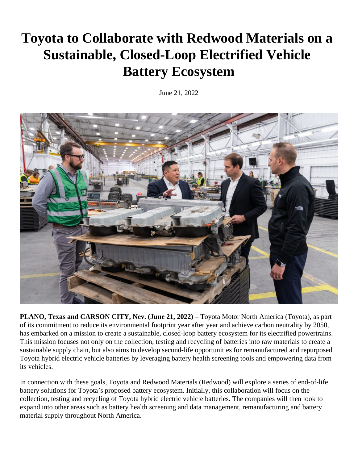## **Toyota to Collaborate with Redwood Materials on a Sustainable, Closed-Loop Electrified Vehicle Battery Ecosystem**

June 21, 2022



**PLANO, Texas and CARSON CITY, Nev. (June 21, 2022)** – Toyota Motor North America (Toyota), as part of its commitment to reduce its environmental footprint year after year and achieve carbon neutrality by 2050, has embarked on a mission to create a sustainable, closed-loop battery ecosystem for its electrified powertrains. This mission focuses not only on the collection, testing and recycling of batteries into raw materials to create a sustainable supply chain, but also aims to develop second-life opportunities for remanufactured and repurposed Toyota hybrid electric vehicle batteries by leveraging battery health screening tools and empowering data from its vehicles.

In connection with these goals, Toyota and Redwood Materials (Redwood) will explore a series of end-of-life battery solutions for Toyota's proposed battery ecosystem. Initially, this collaboration will focus on the collection, testing and recycling of Toyota hybrid electric vehicle batteries. The companies will then look to expand into other areas such as battery health screening and data management, remanufacturing and battery material supply throughout North America.